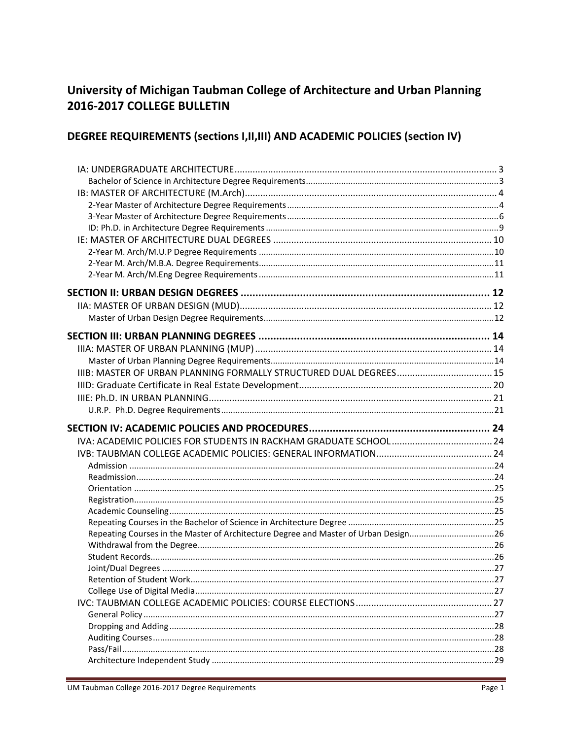# University of Michigan Taubman College of Architecture and Urban Planning 2016-2017 COLLEGE BULLETIN

# DEGREE REQUIREMENTS (sections I, II, III) AND ACADEMIC POLICIES (section IV)

| Repeating Courses in the Master of Architecture Degree and Master of Urban Design26 |  |
|-------------------------------------------------------------------------------------|--|
|                                                                                     |  |
|                                                                                     |  |
|                                                                                     |  |
|                                                                                     |  |
|                                                                                     |  |
|                                                                                     |  |
|                                                                                     |  |
|                                                                                     |  |
|                                                                                     |  |
|                                                                                     |  |
|                                                                                     |  |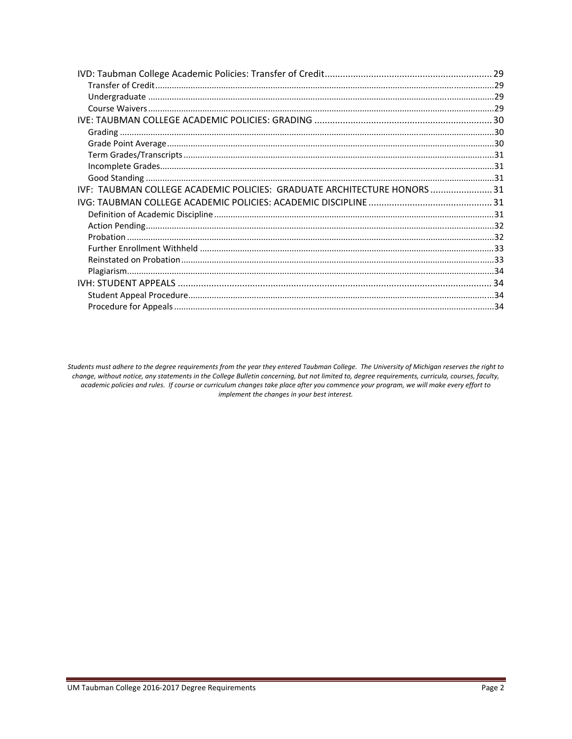| IVF: TAUBMAN COLLEGE ACADEMIC POLICIES: GRADUATE ARCHITECTURE HONORS 31 |  |
|-------------------------------------------------------------------------|--|
|                                                                         |  |
|                                                                         |  |
|                                                                         |  |
|                                                                         |  |
|                                                                         |  |
|                                                                         |  |
|                                                                         |  |
|                                                                         |  |
|                                                                         |  |
|                                                                         |  |

Students must adhere to the degree requirements from the year they entered Taubman College. The University of Michigan reserves the right to change, without notice, any statements in the College Bulletin concerning, but not limited to, degree requirements, curricula, courses, faculty, academic policies and rules. If course or curriculum changes take place after you commence your program, we will make every effort to implement the changes in your best interest.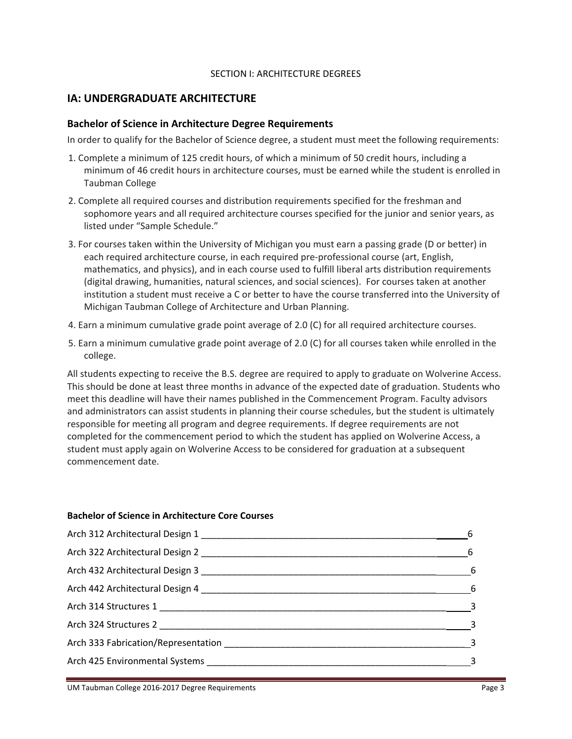#### SECTION I: ARCHITECTURE DEGREES

## **IA: UNDERGRADUATE ARCHITECTURE**

#### **Bachelor of Science in Architecture Degree Requirements**

In order to qualify for the Bachelor of Science degree, a student must meet the following requirements:

- 1. Complete a minimum of 125 credit hours, of which a minimum of 50 credit hours, including a minimum of 46 credit hours in architecture courses, must be earned while the student is enrolled in Taubman College
- 2. Complete all required courses and distribution requirements specified for the freshman and sophomore years and all required architecture courses specified for the junior and senior years, as listed under "Sample Schedule."
- 3. For courses taken within the University of Michigan you must earn a passing grade (D or better) in each required architecture course, in each required pre‐professional course (art, English, mathematics, and physics), and in each course used to fulfill liberal arts distribution requirements (digital drawing, humanities, natural sciences, and social sciences). For courses taken at another institution a student must receive a C or better to have the course transferred into the University of Michigan Taubman College of Architecture and Urban Planning.
- 4. Earn a minimum cumulative grade point average of 2.0 (C) for all required architecture courses.
- 5. Earn a minimum cumulative grade point average of 2.0 (C) for all courses taken while enrolled in the college.

All students expecting to receive the B.S. degree are required to apply to graduate on Wolverine Access. This should be done at least three months in advance of the expected date of graduation. Students who meet this deadline will have their names published in the Commencement Program. Faculty advisors and administrators can assist students in planning their course schedules, but the student is ultimately responsible for meeting all program and degree requirements. If degree requirements are not completed for the commencement period to which the student has applied on Wolverine Access, a student must apply again on Wolverine Access to be considered for graduation at a subsequent commencement date.

#### **Bachelor of Science in Architecture Core Courses**

| 6                       |
|-------------------------|
| $\sim$ 6                |
| $6\overline{6}$         |
| $6\overline{6}$         |
| $\overline{\mathbf{3}}$ |
|                         |
|                         |
|                         |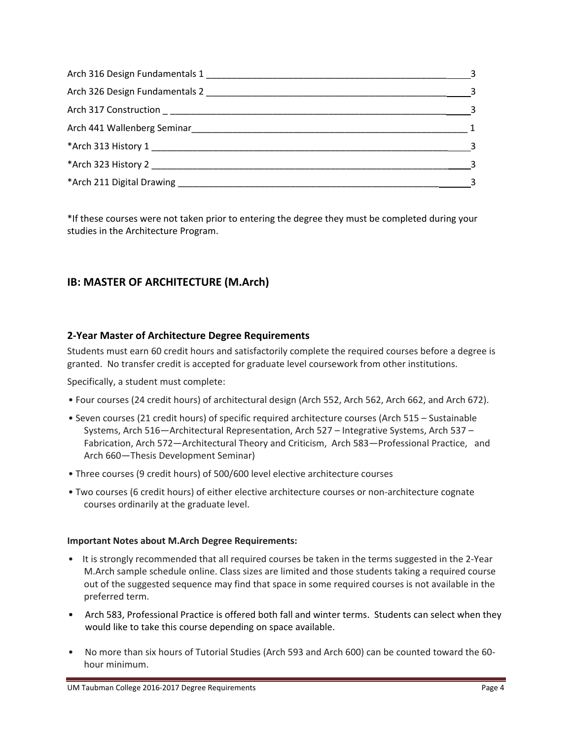| $\sim$ 3                   |
|----------------------------|
|                            |
| $\sim$ 3                   |
| $\overline{1}$             |
| $\sim$ 3                   |
|                            |
| $\overline{\phantom{a}}$ 3 |

\*If these courses were not taken prior to entering the degree they must be completed during your studies in the Architecture Program.

# **IB: MASTER OF ARCHITECTURE (M.Arch)**

# **2‐Year Master of Architecture Degree Requirements**

Students must earn 60 credit hours and satisfactorily complete the required courses before a degree is granted. No transfer credit is accepted for graduate level coursework from other institutions.

Specifically, a student must complete:

- Four courses (24 credit hours) of architectural design (Arch 552, Arch 562, Arch 662, and Arch 672).
- Seven courses (21 credit hours) of specific required architecture courses (Arch 515 Sustainable Systems, Arch 516—Architectural Representation, Arch 527 – Integrative Systems, Arch 537 – Fabrication, Arch 572—Architectural Theory and Criticism, Arch 583—Professional Practice, and Arch 660—Thesis Development Seminar)
- Three courses (9 credit hours) of 500/600 level elective architecture courses
- Two courses (6 credit hours) of either elective architecture courses or non‐architecture cognate courses ordinarily at the graduate level.

#### **Important Notes about M.Arch Degree Requirements:**

- It is strongly recommended that all required courses be taken in the terms suggested in the 2-Year M.Arch sample schedule online. Class sizes are limited and those students taking a required course out of the suggested sequence may find that space in some required courses is not available in the preferred term.
- Arch 583, Professional Practice is offered both fall and winter terms. Students can select when they would like to take this course depending on space available.
- No more than six hours of Tutorial Studies (Arch 593 and Arch 600) can be counted toward the 60hour minimum.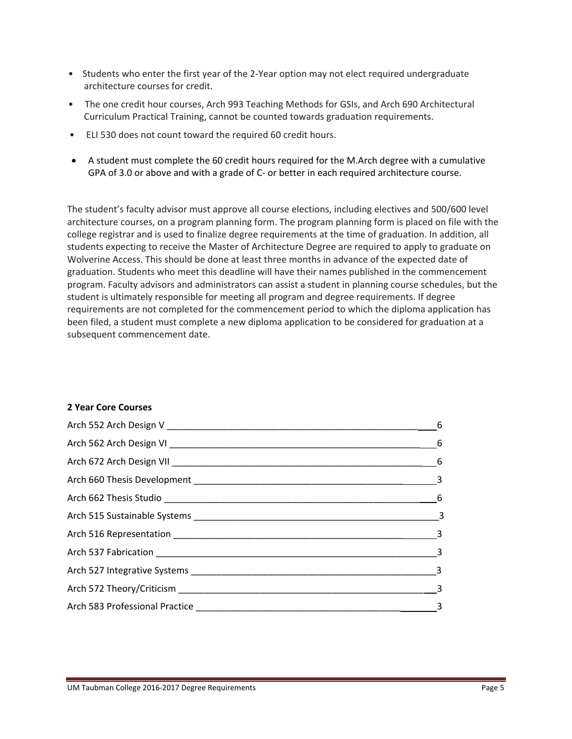- Students who enter the first year of the 2-Year option may not elect required undergraduate architecture courses for credit.
- The one credit hour courses, Arch 993 Teaching Methods for GSIs, and Arch 690 Architectural Curriculum Practical Training, cannot be counted towards graduation requirements.
- ELI 530 does not count toward the required 60 credit hours.
- A student must complete the 60 credit hours required for the M.Arch degree with a cumulative GPA of 3.0 or above and with a grade of C- or better in each required architecture course.

The student's faculty advisor must approve all course elections, including electives and 500/600 level architecture courses, on a program planning form. The program planning form is placed on file with the college registrar and is used to finalize degree requirements at the time of graduation. In addition, all students expecting to receive the Master of Architecture Degree are required to apply to graduate on Wolverine Access. This should be done at least three months in advance of the expected date of graduation. Students who meet this deadline will have their names published in the commencement program. Faculty advisors and administrators can assist a student in planning course schedules, but the student is ultimately responsible for meeting all program and degree requirements. If degree requirements are not completed for the commencement period to which the diploma application has been filed, a student must complete a new diploma application to be considered for graduation at a subsequent commencement date.

#### **2 Year Core Courses**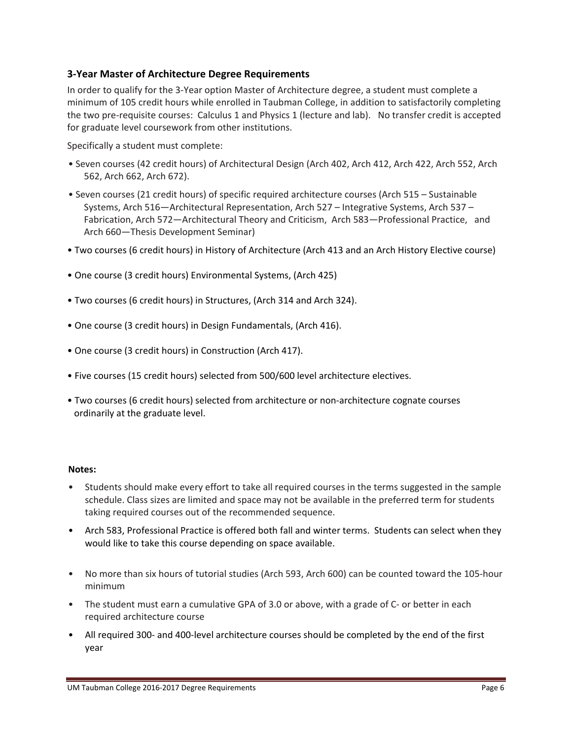## **3‐Year Master of Architecture Degree Requirements**

In order to qualify for the 3‐Year option Master of Architecture degree, a student must complete a minimum of 105 credit hours while enrolled in Taubman College, in addition to satisfactorily completing the two pre‐requisite courses: Calculus 1 and Physics 1 (lecture and lab). No transfer credit is accepted for graduate level coursework from other institutions.

Specifically a student must complete:

- Seven courses (42 credit hours) of Architectural Design (Arch 402, Arch 412, Arch 422, Arch 552, Arch 562, Arch 662, Arch 672).
- Seven courses (21 credit hours) of specific required architecture courses (Arch 515 Sustainable Systems, Arch 516—Architectural Representation, Arch 527 – Integrative Systems, Arch 537 – Fabrication, Arch 572—Architectural Theory and Criticism, Arch 583—Professional Practice, and Arch 660—Thesis Development Seminar)
- Two courses (6 credit hours) in History of Architecture (Arch 413 and an Arch History Elective course)
- One course (3 credit hours) Environmental Systems, (Arch 425)
- Two courses (6 credit hours) in Structures, (Arch 314 and Arch 324).
- One course (3 credit hours) in Design Fundamentals, (Arch 416).
- One course (3 credit hours) in Construction (Arch 417).
- Five courses (15 credit hours) selected from 500/600 level architecture electives.
- Two courses (6 credit hours) selected from architecture or non-architecture cognate courses ordinarily at the graduate level.

#### **Notes:**

- Students should make every effort to take all required courses in the terms suggested in the sample schedule. Class sizes are limited and space may not be available in the preferred term for students taking required courses out of the recommended sequence.
- Arch 583, Professional Practice is offered both fall and winter terms. Students can select when they would like to take this course depending on space available.
- No more than six hours of tutorial studies (Arch 593, Arch 600) can be counted toward the 105-hour minimum
- The student must earn a cumulative GPA of 3.0 or above, with a grade of C- or better in each required architecture course
- All required 300- and 400-level architecture courses should be completed by the end of the first year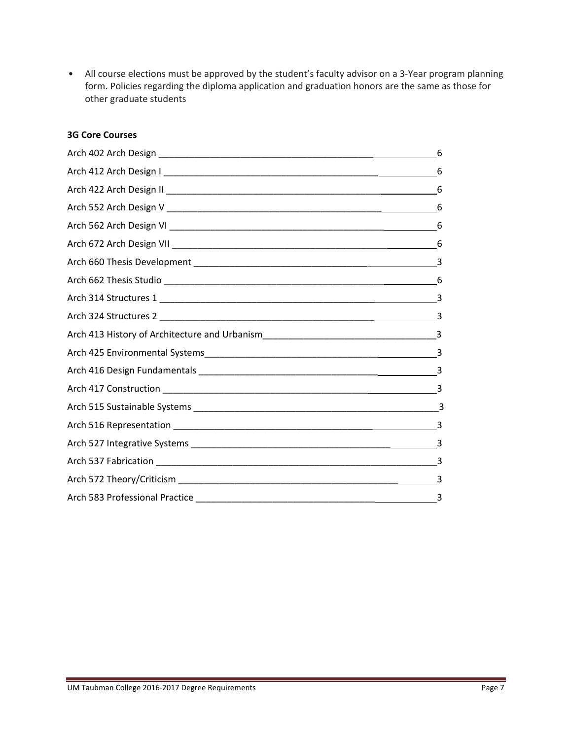• All course elections must be approved by the student's faculty advisor on a 3‐Year program planning form. Policies regarding the diploma application and graduation honors are the same as those for other graduate students

#### **3G Core Courses**

| 6 |
|---|
| 6 |
| 6 |
| 6 |
|   |
|   |
|   |
| 6 |
|   |
|   |
|   |
|   |
|   |
|   |
|   |
|   |
| 3 |
|   |
|   |
|   |
|   |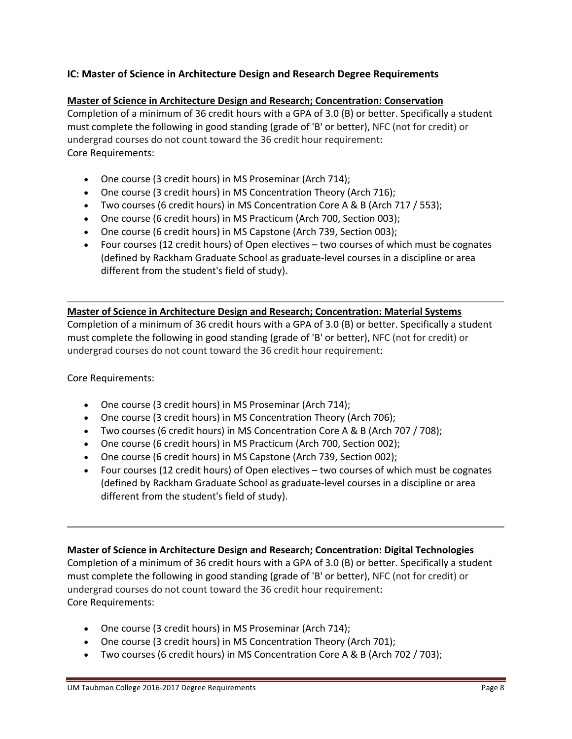# **IC: Master of Science in Architecture Design and Research Degree Requirements**

#### **Master of Science in Architecture Design and Research; Concentration: Conservation**

Completion of a minimum of 36 credit hours with a GPA of 3.0 (B) or better. Specifically a student must complete the following in good standing (grade of 'B' or better), NFC (not for credit) or undergrad courses do not count toward the 36 credit hour requirement: Core Requirements:

- One course (3 credit hours) in MS Proseminar (Arch 714);
- One course (3 credit hours) in MS Concentration Theory (Arch 716);
- Two courses (6 credit hours) in MS Concentration Core A & B (Arch 717 / 553);
- One course (6 credit hours) in MS Practicum (Arch 700, Section 003);
- One course (6 credit hours) in MS Capstone (Arch 739, Section 003);
- Four courses (12 credit hours) of Open electives two courses of which must be cognates (defined by Rackham Graduate School as graduate‐level courses in a discipline or area different from the student's field of study).

#### **Master of Science in Architecture Design and Research; Concentration: Material Systems**

Completion of a minimum of 36 credit hours with a GPA of 3.0 (B) or better. Specifically a student must complete the following in good standing (grade of 'B' or better), NFC (not for credit) or undergrad courses do not count toward the 36 credit hour requirement:

Core Requirements:

- One course (3 credit hours) in MS Proseminar (Arch 714);
- One course (3 credit hours) in MS Concentration Theory (Arch 706);
- Two courses (6 credit hours) in MS Concentration Core A & B (Arch 707 / 708);
- One course (6 credit hours) in MS Practicum (Arch 700, Section 002);
- One course (6 credit hours) in MS Capstone (Arch 739, Section 002);
- Four courses (12 credit hours) of Open electives two courses of which must be cognates (defined by Rackham Graduate School as graduate‐level courses in a discipline or area different from the student's field of study).

#### **Master of Science in Architecture Design and Research; Concentration: Digital Technologies**

Completion of a minimum of 36 credit hours with a GPA of 3.0 (B) or better. Specifically a student must complete the following in good standing (grade of 'B' or better), NFC (not for credit) or undergrad courses do not count toward the 36 credit hour requirement: Core Requirements:

- One course (3 credit hours) in MS Proseminar (Arch 714);
- One course (3 credit hours) in MS Concentration Theory (Arch 701);
- Two courses (6 credit hours) in MS Concentration Core A & B (Arch 702 / 703);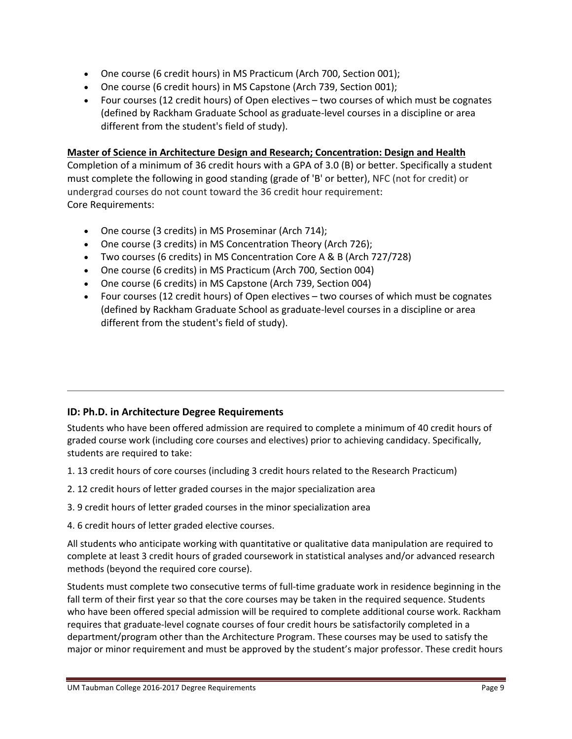- One course (6 credit hours) in MS Practicum (Arch 700, Section 001);
- One course (6 credit hours) in MS Capstone (Arch 739, Section 001);
- Four courses (12 credit hours) of Open electives two courses of which must be cognates (defined by Rackham Graduate School as graduate‐level courses in a discipline or area different from the student's field of study).

#### **Master of Science in Architecture Design and Research; Concentration: Design and Health**

Completion of a minimum of 36 credit hours with a GPA of 3.0 (B) or better. Specifically a student must complete the following in good standing (grade of 'B' or better), NFC (not for credit) or undergrad courses do not count toward the 36 credit hour requirement: Core Requirements:

- One course (3 credits) in MS Proseminar (Arch 714);
- One course (3 credits) in MS Concentration Theory (Arch 726);
- Two courses (6 credits) in MS Concentration Core A & B (Arch 727/728)
- One course (6 credits) in MS Practicum (Arch 700, Section 004)
- One course (6 credits) in MS Capstone (Arch 739, Section 004)
- Four courses (12 credit hours) of Open electives two courses of which must be cognates (defined by Rackham Graduate School as graduate‐level courses in a discipline or area different from the student's field of study).

## **ID: Ph.D. in Architecture Degree Requirements**

Students who have been offered admission are required to complete a minimum of 40 credit hours of graded course work (including core courses and electives) prior to achieving candidacy. Specifically, students are required to take:

- 1. 13 credit hours of core courses (including 3 credit hours related to the Research Practicum)
- 2. 12 credit hours of letter graded courses in the major specialization area
- 3. 9 credit hours of letter graded courses in the minor specialization area
- 4. 6 credit hours of letter graded elective courses.

All students who anticipate working with quantitative or qualitative data manipulation are required to complete at least 3 credit hours of graded coursework in statistical analyses and/or advanced research methods (beyond the required core course).

Students must complete two consecutive terms of full‐time graduate work in residence beginning in the fall term of their first year so that the core courses may be taken in the required sequence. Students who have been offered special admission will be required to complete additional course work. Rackham requires that graduate‐level cognate courses of four credit hours be satisfactorily completed in a department/program other than the Architecture Program. These courses may be used to satisfy the major or minor requirement and must be approved by the student's major professor. These credit hours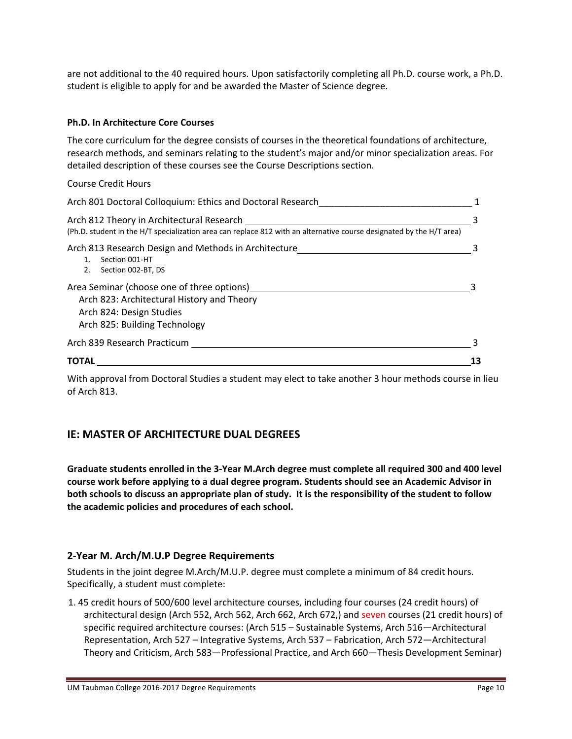are not additional to the 40 required hours. Upon satisfactorily completing all Ph.D. course work, a Ph.D. student is eligible to apply for and be awarded the Master of Science degree.

#### **Ph.D. In Architecture Core Courses**

The core curriculum for the degree consists of courses in the theoretical foundations of architecture, research methods, and seminars relating to the student's major and/or minor specialization areas. For detailed description of these courses see the Course Descriptions section.

#### Course Credit Hours

| Arch 801 Doctoral Colloquium: Ethics and Doctoral Research                                                                                                        |  |
|-------------------------------------------------------------------------------------------------------------------------------------------------------------------|--|
| Arch 812 Theory in Architectural Research<br>(Ph.D. student in the H/T specialization area can replace 812 with an alternative course designated by the H/T area) |  |
| Arch 813 Research Design and Methods in Architecture<br>Section 001-HT<br>$1_{-}$<br>Section 002-BT, DS<br>2.                                                     |  |
| Area Seminar (choose one of three options)<br>Arch 823: Architectural History and Theory<br>Arch 824: Design Studies<br>Arch 825: Building Technology             |  |
| Arch 839 Research Practicum                                                                                                                                       |  |
| <b>TOTAL</b>                                                                                                                                                      |  |

With approval from Doctoral Studies a student may elect to take another 3 hour methods course in lieu of Arch 813.

## **IE: MASTER OF ARCHITECTURE DUAL DEGREES**

Graduate students enrolled in the 3-Year M.Arch degree must complete all required 300 and 400 level **course work before applying to a dual degree program. Students should see an Academic Advisor in** both schools to discuss an appropriate plan of study. It is the responsibility of the student to follow **the academic policies and procedures of each school.**

#### **2‐Year M. Arch/M.U.P Degree Requirements**

Students in the joint degree M.Arch/M.U.P. degree must complete a minimum of 84 credit hours. Specifically, a student must complete:

1. 45 credit hours of 500/600 level architecture courses, including four courses (24 credit hours) of architectural design (Arch 552, Arch 562, Arch 662, Arch 672,) and seven courses (21 credit hours) of specific required architecture courses: (Arch 515 – Sustainable Systems, Arch 516—Architectural Representation, Arch 527 – Integrative Systems, Arch 537 – Fabrication, Arch 572—Architectural Theory and Criticism, Arch 583—Professional Practice, and Arch 660—Thesis Development Seminar)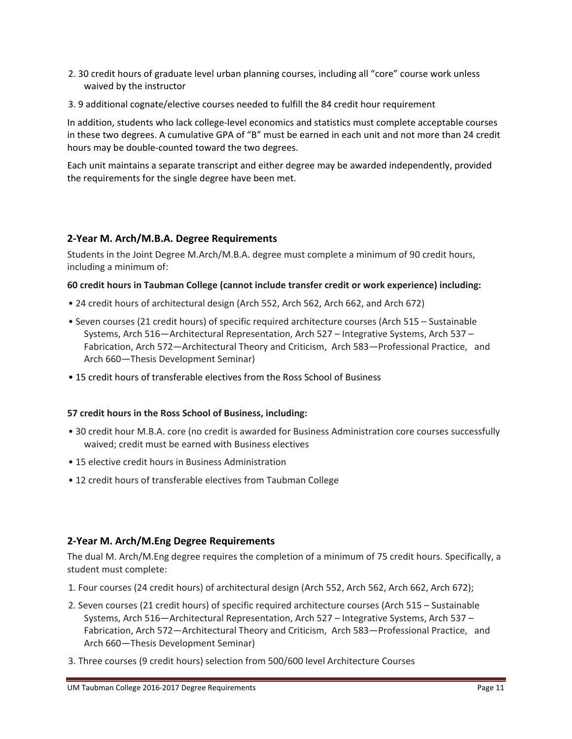- 2. 30 credit hours of graduate level urban planning courses, including all "core" course work unless waived by the instructor
- 3. 9 additional cognate/elective courses needed to fulfill the 84 credit hour requirement

In addition, students who lack college‐level economics and statistics must complete acceptable courses in these two degrees. A cumulative GPA of "B" must be earned in each unit and not more than 24 credit hours may be double‐counted toward the two degrees.

Each unit maintains a separate transcript and either degree may be awarded independently, provided the requirements for the single degree have been met.

# **2‐Year M. Arch/M.B.A. Degree Requirements**

Students in the Joint Degree M.Arch/M.B.A. degree must complete a minimum of 90 credit hours, including a minimum of:

## **60 credit hours in Taubman College (cannot include transfer credit or work experience) including:**

- 24 credit hours of architectural design (Arch 552, Arch 562, Arch 662, and Arch 672)
- Seven courses (21 credit hours) of specific required architecture courses (Arch 515 Sustainable Systems, Arch 516—Architectural Representation, Arch 527 – Integrative Systems, Arch 537 – Fabrication, Arch 572—Architectural Theory and Criticism, Arch 583—Professional Practice, and Arch 660—Thesis Development Seminar)
- 15 credit hours of transferable electives from the Ross School of Business

#### **57 credit hours in the Ross School of Business, including:**

- 30 credit hour M.B.A. core (no credit is awarded for Business Administration core courses successfully waived; credit must be earned with Business electives
- 15 elective credit hours in Business Administration
- 12 credit hours of transferable electives from Taubman College

## **2‐Year M. Arch/M.Eng Degree Requirements**

The dual M. Arch/M.Eng degree requires the completion of a minimum of 75 credit hours. Specifically, a student must complete:

- 1. Four courses (24 credit hours) of architectural design (Arch 552, Arch 562, Arch 662, Arch 672);
- 2. Seven courses (21 credit hours) of specific required architecture courses (Arch 515 Sustainable Systems, Arch 516—Architectural Representation, Arch 527 – Integrative Systems, Arch 537 – Fabrication, Arch 572—Architectural Theory and Criticism, Arch 583—Professional Practice, and Arch 660—Thesis Development Seminar)
- 3. Three courses (9 credit hours) selection from 500/600 level Architecture Courses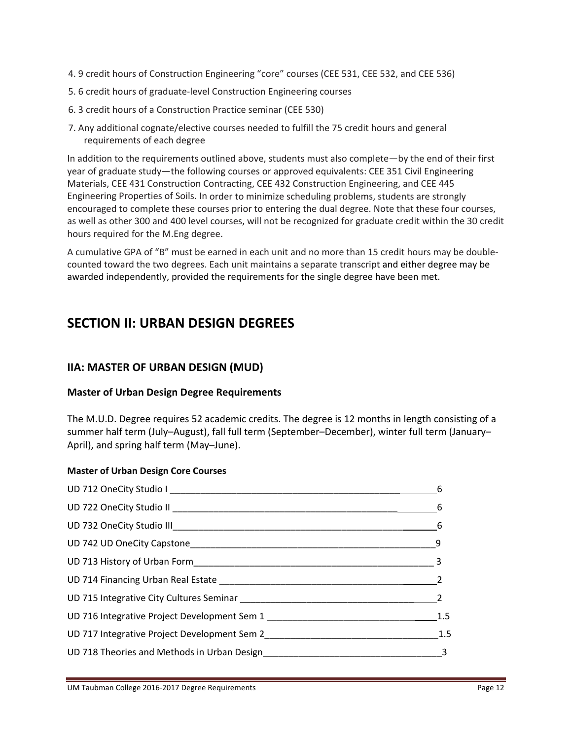- 4. 9 credit hours of Construction Engineering "core" courses (CEE 531, CEE 532, and CEE 536)
- 5. 6 credit hours of graduate‐level Construction Engineering courses
- 6. 3 credit hours of a Construction Practice seminar (CEE 530)
- 7. Any additional cognate/elective courses needed to fulfill the 75 credit hours and general requirements of each degree

In addition to the requirements outlined above, students must also complete—by the end of their first year of graduate study—the following courses or approved equivalents: CEE 351 Civil Engineering Materials, CEE 431 Construction Contracting, CEE 432 Construction Engineering, and CEE 445 Engineering Properties of Soils. In order to minimize scheduling problems, students are strongly encouraged to complete these courses prior to entering the dual degree. Note that these four courses, as well as other 300 and 400 level courses, will not be recognized for graduate credit within the 30 credit hours required for the M.Eng degree.

A cumulative GPA of "B" must be earned in each unit and no more than 15 credit hours may be double‐ counted toward the two degrees. Each unit maintains a separate transcript and either degree may be awarded independently, provided the requirements for the single degree have been met.

# **SECTION II: URBAN DESIGN DEGREES**

# **IIA: MASTER OF URBAN DESIGN (MUD)**

## **Master of Urban Design Degree Requirements**

The M.U.D. Degree requires 52 academic credits. The degree is 12 months in length consisting of a summer half term (July–August), fall full term (September–December), winter full term (January– April), and spring half term (May–June).

## **Master of Urban Design Core Courses**

|                                                                                                               | 6                        |
|---------------------------------------------------------------------------------------------------------------|--------------------------|
|                                                                                                               | $6\overline{6}$          |
|                                                                                                               |                          |
|                                                                                                               |                          |
|                                                                                                               |                          |
|                                                                                                               | $\overline{\phantom{0}}$ |
|                                                                                                               | $\overline{\phantom{0}}$ |
|                                                                                                               | 1.5                      |
|                                                                                                               | 1.5                      |
| UD 718 Theories and Methods in Urban Design Manuscript Control of Australian Control of Australian Control of |                          |
|                                                                                                               |                          |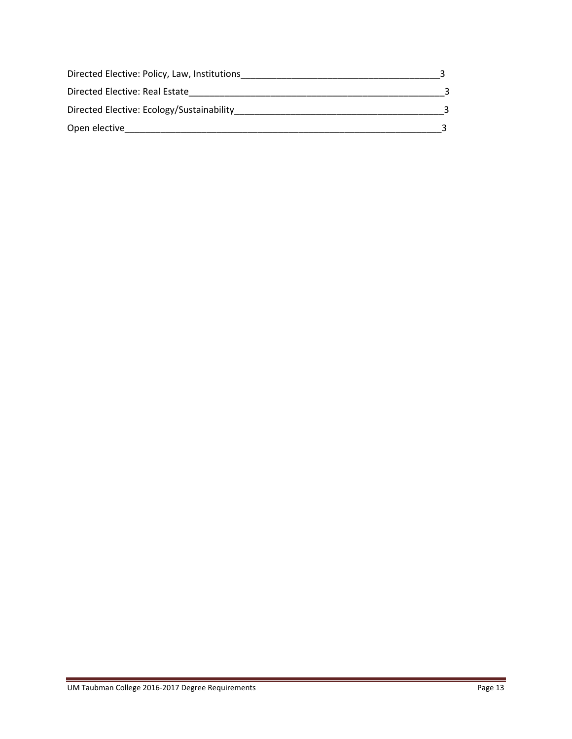| Directed Elective: Policy, Law, Institutions |  |
|----------------------------------------------|--|
| Directed Elective: Real Estate               |  |
| Directed Elective: Ecology/Sustainability    |  |
| Open elective                                |  |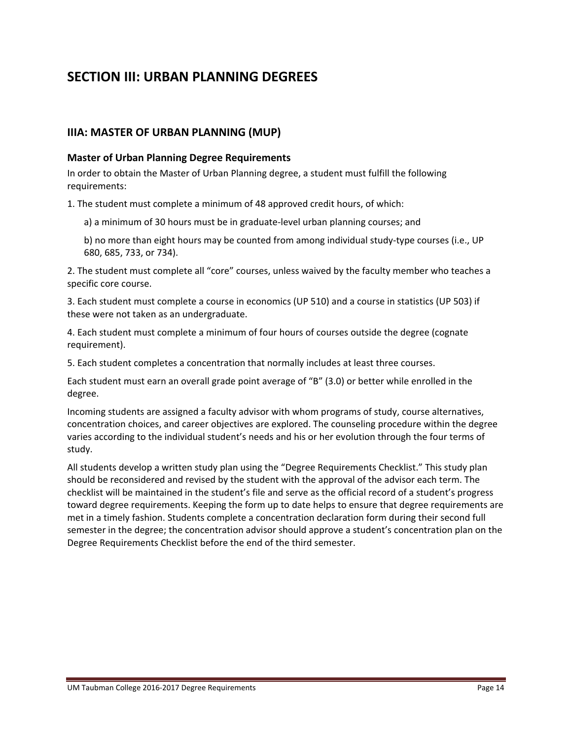# **SECTION III: URBAN PLANNING DEGREES**

## **IIIA: MASTER OF URBAN PLANNING (MUP)**

#### **Master of Urban Planning Degree Requirements**

In order to obtain the Master of Urban Planning degree, a student must fulfill the following requirements:

1. The student must complete a minimum of 48 approved credit hours, of which:

- a) a minimum of 30 hours must be in graduate‐level urban planning courses; and
- b) no more than eight hours may be counted from among individual study‐type courses (i.e., UP 680, 685, 733, or 734).

2. The student must complete all "core" courses, unless waived by the faculty member who teaches a specific core course.

3. Each student must complete a course in economics (UP 510) and a course in statistics (UP 503) if these were not taken as an undergraduate.

4. Each student must complete a minimum of four hours of courses outside the degree (cognate requirement).

5. Each student completes a concentration that normally includes at least three courses.

Each student must earn an overall grade point average of "B" (3.0) or better while enrolled in the degree.

Incoming students are assigned a faculty advisor with whom programs of study, course alternatives, concentration choices, and career objectives are explored. The counseling procedure within the degree varies according to the individual student's needs and his or her evolution through the four terms of study.

All students develop a written study plan using the "Degree Requirements Checklist." This study plan should be reconsidered and revised by the student with the approval of the advisor each term. The checklist will be maintained in the student's file and serve as the official record of a student's progress toward degree requirements. Keeping the form up to date helps to ensure that degree requirements are met in a timely fashion. Students complete a concentration declaration form during their second full semester in the degree; the concentration advisor should approve a student's concentration plan on the Degree Requirements Checklist before the end of the third semester.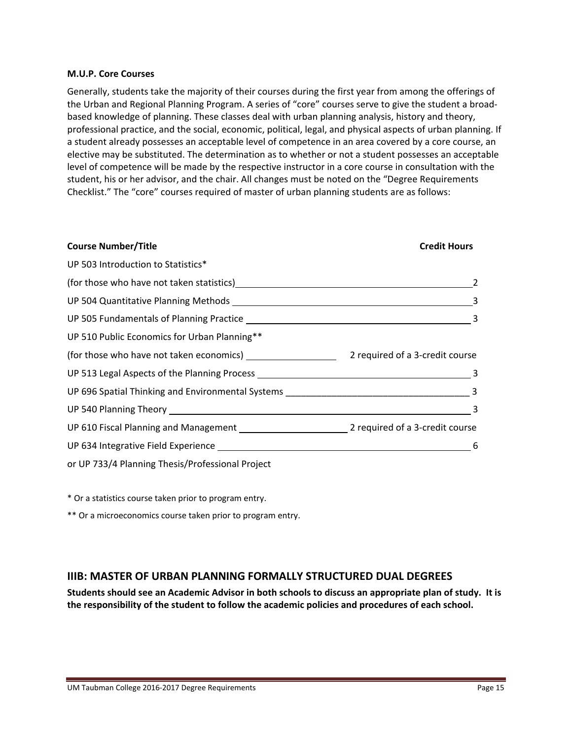#### **M.U.P. Core Courses**

Generally, students take the majority of their courses during the first year from among the offerings of the Urban and Regional Planning Program. A series of "core" courses serve to give the student a broad‐ based knowledge of planning. These classes deal with urban planning analysis, history and theory, professional practice, and the social, economic, political, legal, and physical aspects of urban planning. If a student already possesses an acceptable level of competence in an area covered by a core course, an elective may be substituted. The determination as to whether or not a student possesses an acceptable level of competence will be made by the respective instructor in a core course in consultation with the student, his or her advisor, and the chair. All changes must be noted on the "Degree Requirements Checklist." The "core" courses required of master of urban planning students are as follows:

| <b>Course Number/Title</b>                                                                          | <b>Credit Hours</b> |
|-----------------------------------------------------------------------------------------------------|---------------------|
| UP 503 Introduction to Statistics*                                                                  |                     |
| (for those who have not taken statistics)<br><u>examples and the contraction of the contraction</u> | 2                   |
|                                                                                                     |                     |
|                                                                                                     |                     |
| UP 510 Public Economics for Urban Planning**                                                        |                     |
|                                                                                                     |                     |
|                                                                                                     |                     |
|                                                                                                     |                     |
|                                                                                                     | $\sim$ 3            |
|                                                                                                     |                     |
| UP 634 Integrative Field Experience Manual Communication of 6                                       |                     |
| or UP 733/4 Planning Thesis/Professional Project                                                    |                     |

\* Or a statistics course taken prior to program entry.

\*\* Or a microeconomics course taken prior to program entry.

#### **IIIB: MASTER OF URBAN PLANNING FORMALLY STRUCTURED DUAL DEGREES**

Students should see an Academic Advisor in both schools to discuss an appropriate plan of study. It is **the responsibility of the student to follow the academic policies and procedures of each school.**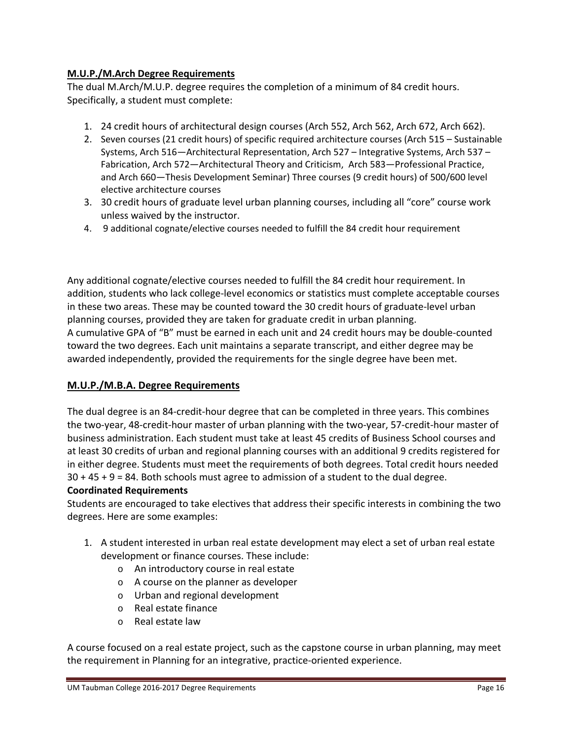# **M.U.P./M.Arch Degree Requirements**

The dual M.Arch/M.U.P. degree requires the completion of a minimum of 84 credit hours. Specifically, a student must complete:

- 1. 24 credit hours of architectural design courses (Arch 552, Arch 562, Arch 672, Arch 662).
- 2. Seven courses (21 credit hours) of specific required architecture courses (Arch 515 Sustainable Systems, Arch 516—Architectural Representation, Arch 527 – Integrative Systems, Arch 537 – Fabrication, Arch 572—Architectural Theory and Criticism, Arch 583—Professional Practice, and Arch 660—Thesis Development Seminar) Three courses (9 credit hours) of 500/600 level elective architecture courses
- 3. 30 credit hours of graduate level urban planning courses, including all "core" course work unless waived by the instructor.
- 4. 9 additional cognate/elective courses needed to fulfill the 84 credit hour requirement

Any additional cognate/elective courses needed to fulfill the 84 credit hour requirement. In addition, students who lack college‐level economics or statistics must complete acceptable courses in these two areas. These may be counted toward the 30 credit hours of graduate‐level urban planning courses, provided they are taken for graduate credit in urban planning. A cumulative GPA of "B" must be earned in each unit and 24 credit hours may be double‐counted toward the two degrees. Each unit maintains a separate transcript, and either degree may be awarded independently, provided the requirements for the single degree have been met.

## **M.U.P./M.B.A. Degree Requirements**

The dual degree is an 84‐credit‐hour degree that can be completed in three years. This combines the two‐year, 48‐credit‐hour master of urban planning with the two‐year, 57‐credit‐hour master of business administration. Each student must take at least 45 credits of Business School courses and at least 30 credits of urban and regional planning courses with an additional 9 credits registered for in either degree. Students must meet the requirements of both degrees. Total credit hours needed  $30 + 45 + 9 = 84$ . Both schools must agree to admission of a student to the dual degree.

## **Coordinated Requirements**

Students are encouraged to take electives that address their specific interests in combining the two degrees. Here are some examples:

- 1. A student interested in urban real estate development may elect a set of urban real estate development or finance courses. These include:
	- o An introductory course in real estate
	- o A course on the planner as developer
	- o Urban and regional development
	- o Real estate finance
	- o Real estate law

A course focused on a real estate project, such as the capstone course in urban planning, may meet the requirement in Planning for an integrative, practice‐oriented experience.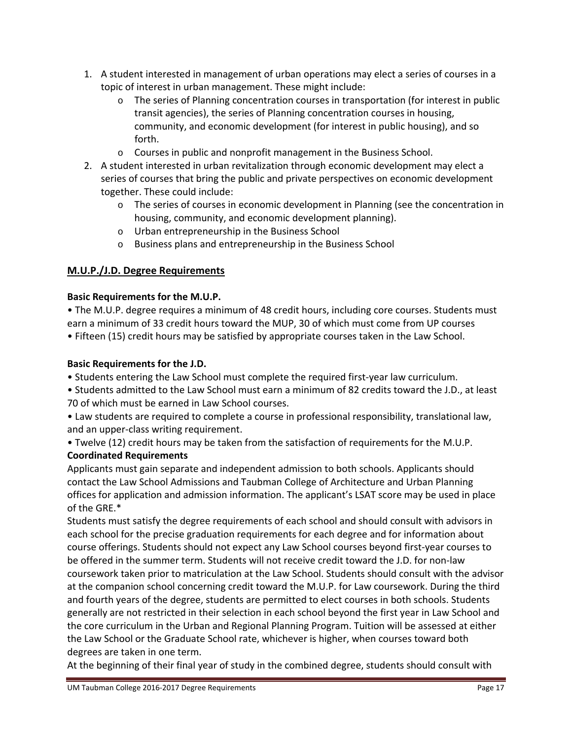- 1. A student interested in management of urban operations may elect a series of courses in a topic of interest in urban management. These might include:
	- $\circ$  The series of Planning concentration courses in transportation (for interest in public transit agencies), the series of Planning concentration courses in housing, community, and economic development (for interest in public housing), and so forth.
	- o Courses in public and nonprofit management in the Business School.
- 2. A student interested in urban revitalization through economic development may elect a series of courses that bring the public and private perspectives on economic development together. These could include:
	- o The series of courses in economic development in Planning (see the concentration in housing, community, and economic development planning).
	- o Urban entrepreneurship in the Business School
	- o Business plans and entrepreneurship in the Business School

# **M.U.P./J.D. Degree Requirements**

# **Basic Requirements for the M.U.P.**

• The M.U.P. degree requires a minimum of 48 credit hours, including core courses. Students must earn a minimum of 33 credit hours toward the MUP, 30 of which must come from UP courses • Fifteen (15) credit hours may be satisfied by appropriate courses taken in the Law School.

# **Basic Requirements for the J.D.**

- Students entering the Law School must complete the required first‐year law curriculum.
- Students admitted to the Law School must earn a minimum of 82 credits toward the J.D., at least 70 of which must be earned in Law School courses.
- Law students are required to complete a course in professional responsibility, translational law, and an upper‐class writing requirement.

• Twelve (12) credit hours may be taken from the satisfaction of requirements for the M.U.P.

# **Coordinated Requirements**

Applicants must gain separate and independent admission to both schools. Applicants should contact the Law School Admissions and Taubman College of Architecture and Urban Planning offices for application and admission information. The applicant's LSAT score may be used in place of the GRE.\*

Students must satisfy the degree requirements of each school and should consult with advisors in each school for the precise graduation requirements for each degree and for information about course offerings. Students should not expect any Law School courses beyond first‐year courses to be offered in the summer term. Students will not receive credit toward the J.D. for non-law coursework taken prior to matriculation at the Law School. Students should consult with the advisor at the companion school concerning credit toward the M.U.P. for Law coursework. During the third and fourth years of the degree, students are permitted to elect courses in both schools. Students generally are not restricted in their selection in each school beyond the first year in Law School and the core curriculum in the Urban and Regional Planning Program. Tuition will be assessed at either the Law School or the Graduate School rate, whichever is higher, when courses toward both degrees are taken in one term.

At the beginning of their final year of study in the combined degree, students should consult with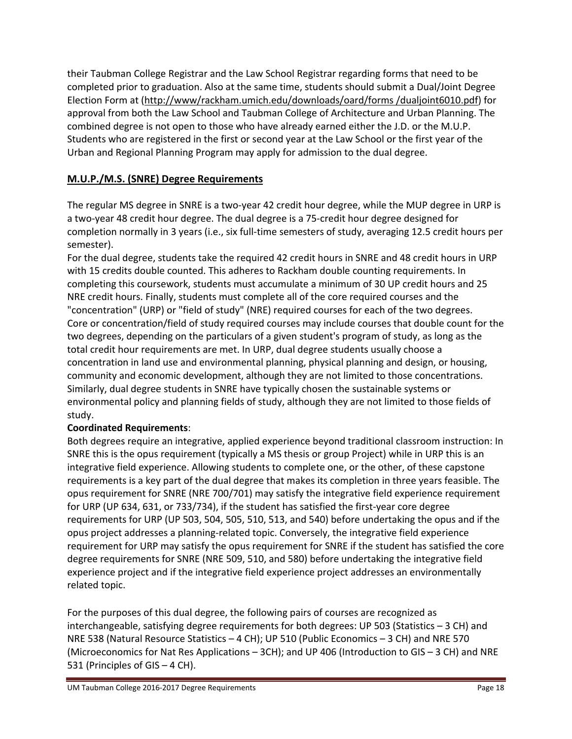their Taubman College Registrar and the Law School Registrar regarding forms that need to be completed prior to graduation. Also at the same time, students should submit a Dual/Joint Degree Election Form at (http://www/rackham.umich.edu/downloads/oard/forms /dualjoint6010.pdf) for approval from both the Law School and Taubman College of Architecture and Urban Planning. The combined degree is not open to those who have already earned either the J.D. or the M.U.P. Students who are registered in the first or second year at the Law School or the first year of the Urban and Regional Planning Program may apply for admission to the dual degree.

# **M.U.P./M.S. (SNRE) Degree Requirements**

The regular MS degree in SNRE is a two‐year 42 credit hour degree, while the MUP degree in URP is a two‐year 48 credit hour degree. The dual degree is a 75‐credit hour degree designed for completion normally in 3 years (i.e., six full‐time semesters of study, averaging 12.5 credit hours per semester).

For the dual degree, students take the required 42 credit hours in SNRE and 48 credit hours in URP with 15 credits double counted. This adheres to Rackham double counting requirements. In completing this coursework, students must accumulate a minimum of 30 UP credit hours and 25 NRE credit hours. Finally, students must complete all of the core required courses and the "concentration" (URP) or "field of study" (NRE) required courses for each of the two degrees. Core or concentration/field of study required courses may include courses that double count for the two degrees, depending on the particulars of a given student's program of study, as long as the total credit hour requirements are met. In URP, dual degree students usually choose a concentration in land use and environmental planning, physical planning and design, or housing, community and economic development, although they are not limited to those concentrations. Similarly, dual degree students in SNRE have typically chosen the sustainable systems or environmental policy and planning fields of study, although they are not limited to those fields of study.

# **Coordinated Requirements**:

Both degrees require an integrative, applied experience beyond traditional classroom instruction: In SNRE this is the opus requirement (typically a MS thesis or group Project) while in URP this is an integrative field experience. Allowing students to complete one, or the other, of these capstone requirements is a key part of the dual degree that makes its completion in three years feasible. The opus requirement for SNRE (NRE 700/701) may satisfy the integrative field experience requirement for URP (UP 634, 631, or 733/734), if the student has satisfied the first-year core degree requirements for URP (UP 503, 504, 505, 510, 513, and 540) before undertaking the opus and if the opus project addresses a planning‐related topic. Conversely, the integrative field experience requirement for URP may satisfy the opus requirement for SNRE if the student has satisfied the core degree requirements for SNRE (NRE 509, 510, and 580) before undertaking the integrative field experience project and if the integrative field experience project addresses an environmentally related topic.

For the purposes of this dual degree, the following pairs of courses are recognized as interchangeable, satisfying degree requirements for both degrees: UP 503 (Statistics – 3 CH) and NRE 538 (Natural Resource Statistics – 4 CH); UP 510 (Public Economics – 3 CH) and NRE 570 (Microeconomics for Nat Res Applications – 3CH); and UP 406 (Introduction to GIS – 3 CH) and NRE 531 (Principles of GIS – 4 CH).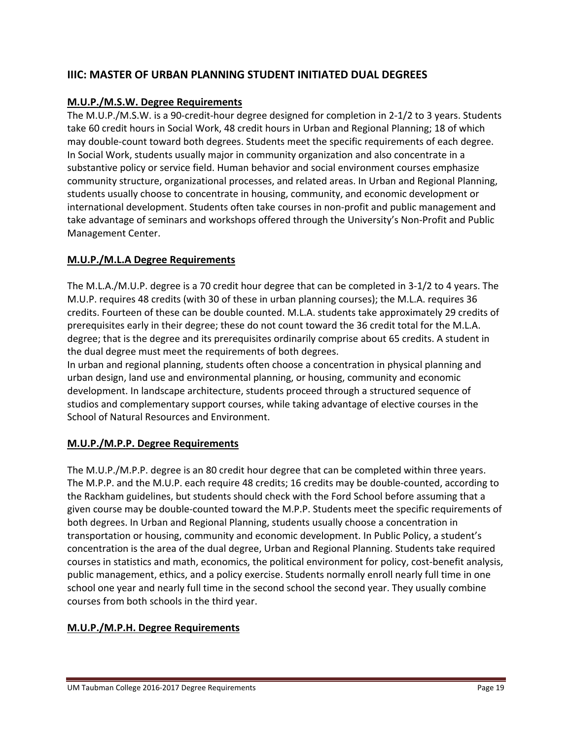# **IIIC: MASTER OF URBAN PLANNING STUDENT INITIATED DUAL DEGREES**

## **M.U.P./M.S.W. Degree Requirements**

The M.U.P./M.S.W. is a 90‐credit‐hour degree designed for completion in 2‐1/2 to 3 years. Students take 60 credit hours in Social Work, 48 credit hours in Urban and Regional Planning; 18 of which may double‐count toward both degrees. Students meet the specific requirements of each degree. In Social Work, students usually major in community organization and also concentrate in a substantive policy or service field. Human behavior and social environment courses emphasize community structure, organizational processes, and related areas. In Urban and Regional Planning, students usually choose to concentrate in housing, community, and economic development or international development. Students often take courses in non‐profit and public management and take advantage of seminars and workshops offered through the University's Non‐Profit and Public Management Center.

# **M.U.P./M.L.A Degree Requirements**

The M.L.A./M.U.P. degree is a 70 credit hour degree that can be completed in 3‐1/2 to 4 years. The M.U.P. requires 48 credits (with 30 of these in urban planning courses); the M.L.A. requires 36 credits. Fourteen of these can be double counted. M.L.A. students take approximately 29 credits of prerequisites early in their degree; these do not count toward the 36 credit total for the M.L.A. degree; that is the degree and its prerequisites ordinarily comprise about 65 credits. A student in the dual degree must meet the requirements of both degrees.

In urban and regional planning, students often choose a concentration in physical planning and urban design, land use and environmental planning, or housing, community and economic development. In landscape architecture, students proceed through a structured sequence of studios and complementary support courses, while taking advantage of elective courses in the School of Natural Resources and Environment.

## **M.U.P./M.P.P. Degree Requirements**

The M.U.P./M.P.P. degree is an 80 credit hour degree that can be completed within three years. The M.P.P. and the M.U.P. each require 48 credits; 16 credits may be double‐counted, according to the Rackham guidelines, but students should check with the Ford School before assuming that a given course may be double‐counted toward the M.P.P. Students meet the specific requirements of both degrees. In Urban and Regional Planning, students usually choose a concentration in transportation or housing, community and economic development. In Public Policy, a student's concentration is the area of the dual degree, Urban and Regional Planning. Students take required courses in statistics and math, economics, the political environment for policy, cost‐benefit analysis, public management, ethics, and a policy exercise. Students normally enroll nearly full time in one school one year and nearly full time in the second school the second year. They usually combine courses from both schools in the third year.

# **M.U.P./M.P.H. Degree Requirements**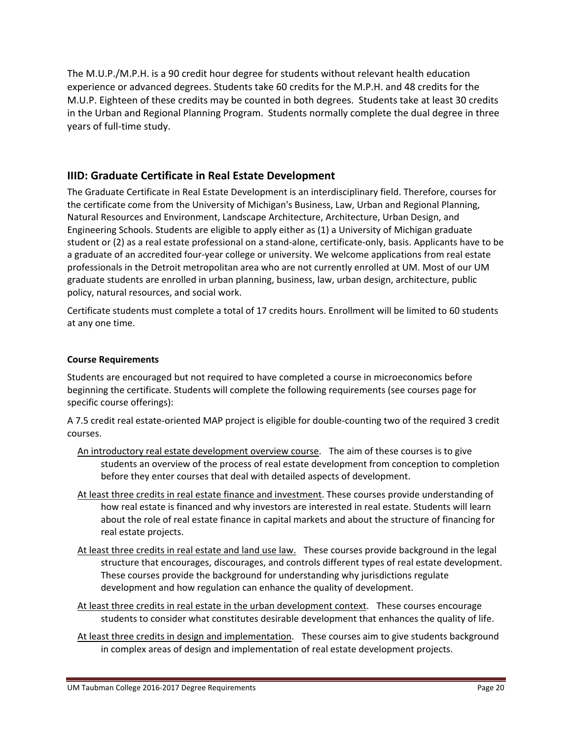The M.U.P./M.P.H. is a 90 credit hour degree for students without relevant health education experience or advanced degrees. Students take 60 credits for the M.P.H. and 48 credits for the M.U.P. Eighteen of these credits may be counted in both degrees. Students take at least 30 credits in the Urban and Regional Planning Program. Students normally complete the dual degree in three years of full‐time study.

# **IIID: Graduate Certificate in Real Estate Development**

The Graduate Certificate in Real Estate Development is an interdisciplinary field. Therefore, courses for the certificate come from the University of Michigan's Business, Law, Urban and Regional Planning, Natural Resources and Environment, Landscape Architecture, Architecture, Urban Design, and Engineering Schools. Students are eligible to apply either as (1) a University of Michigan graduate student or (2) as a real estate professional on a stand‐alone, certificate‐only, basis. Applicants have to be a graduate of an accredited four‐year college or university. We welcome applications from real estate professionals in the Detroit metropolitan area who are not currently enrolled at UM. Most of our UM graduate students are enrolled in urban planning, business, law, urban design, architecture, public policy, natural resources, and social work.

Certificate students must complete a total of 17 credits hours. Enrollment will be limited to 60 students at any one time.

#### **Course Requirements**

Students are encouraged but not required to have completed a course in microeconomics before beginning the certificate. Students will complete the following requirements (see courses page for specific course offerings):

A 7.5 credit real estate‐oriented MAP project is eligible for double‐counting two of the required 3 credit courses.

- An introductory real estate development overview course. The aim of these courses is to give students an overview of the process of real estate development from conception to completion before they enter courses that deal with detailed aspects of development.
- At least three credits in real estate finance and investment. These courses provide understanding of how real estate is financed and why investors are interested in real estate. Students will learn about the role of real estate finance in capital markets and about the structure of financing for real estate projects.
- At least three credits in real estate and land use law. These courses provide background in the legal structure that encourages, discourages, and controls different types of real estate development. These courses provide the background for understanding why jurisdictions regulate development and how regulation can enhance the quality of development.
- At least three credits in real estate in the urban development context. These courses encourage students to consider what constitutes desirable development that enhances the quality of life.
- At least three credits in design and implementation. These courses aim to give students background in complex areas of design and implementation of real estate development projects.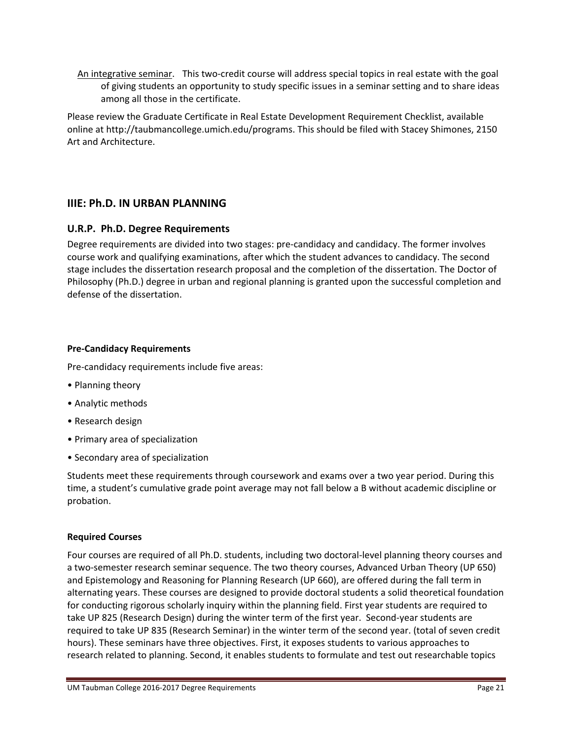An integrative seminar. This two‐credit course will address special topics in real estate with the goal of giving students an opportunity to study specific issues in a seminar setting and to share ideas among all those in the certificate.

Please review the Graduate Certificate in Real Estate Development Requirement Checklist, available online at http://taubmancollege.umich.edu/programs. This should be filed with Stacey Shimones, 2150 Art and Architecture.

# **IIIE: Ph.D. IN URBAN PLANNING**

# **U.R.P. Ph.D. Degree Requirements**

Degree requirements are divided into two stages: pre‐candidacy and candidacy. The former involves course work and qualifying examinations, after which the student advances to candidacy. The second stage includes the dissertation research proposal and the completion of the dissertation. The Doctor of Philosophy (Ph.D.) degree in urban and regional planning is granted upon the successful completion and defense of the dissertation.

## **Pre‐Candidacy Requirements**

Pre‐candidacy requirements include five areas:

- Planning theory
- Analytic methods
- Research design
- Primary area of specialization
- Secondary area of specialization

Students meet these requirements through coursework and exams over a two year period. During this time, a student's cumulative grade point average may not fall below a B without academic discipline or probation.

#### **Required Courses**

Four courses are required of all Ph.D. students, including two doctoral‐level planning theory courses and a two‐semester research seminar sequence. The two theory courses, Advanced Urban Theory (UP 650) and Epistemology and Reasoning for Planning Research (UP 660), are offered during the fall term in alternating years. These courses are designed to provide doctoral students a solid theoretical foundation for conducting rigorous scholarly inquiry within the planning field. First year students are required to take UP 825 (Research Design) during the winter term of the first year. Second-year students are required to take UP 835 (Research Seminar) in the winter term of the second year. (total of seven credit hours). These seminars have three objectives. First, it exposes students to various approaches to research related to planning. Second, it enables students to formulate and test out researchable topics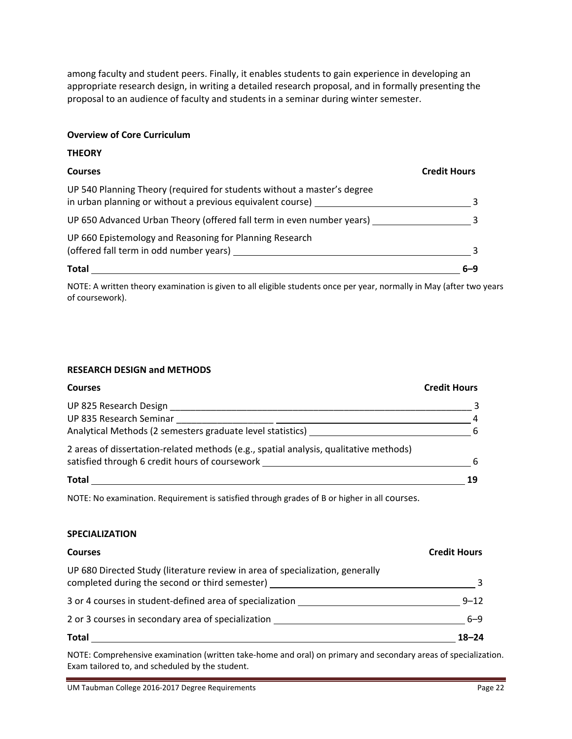among faculty and student peers. Finally, it enables students to gain experience in developing an appropriate research design, in writing a detailed research proposal, and in formally presenting the proposal to an audience of faculty and students in a seminar during winter semester.

#### **Overview of Core Curriculum**

#### **THEORY**

| <b>Courses</b>                                                                                     | <b>Credit Hours</b> |
|----------------------------------------------------------------------------------------------------|---------------------|
| UP 540 Planning Theory (required for students without a master's degree                            |                     |
| UP 650 Advanced Urban Theory (offered fall term in even number years)                              |                     |
| UP 660 Epistemology and Reasoning for Planning Research<br>(offered fall term in odd number years) |                     |
| <b>Total</b>                                                                                       |                     |

NOTE: A written theory examination is given to all eligible students once per year, normally in May (after two years of coursework).

#### **RESEARCH DESIGN and METHODS**

| <b>Courses</b>                                                                        | <b>Credit Hours</b> |
|---------------------------------------------------------------------------------------|---------------------|
| UP 825 Research Design                                                                |                     |
| UP 835 Research Seminar                                                               | $\overline{4}$      |
| Analytical Methods (2 semesters graduate level statistics) _                          | -6                  |
| 2 areas of dissertation-related methods (e.g., spatial analysis, qualitative methods) |                     |
| satisfied through 6 credit hours of coursework                                        | 6                   |
| <b>Total</b>                                                                          | 19                  |

NOTE: No examination. Requirement is satisfied through grades of B or higher in all courses.

#### **SPECIALIZATION**

| <b>Courses</b>                                                                                                                  | <b>Credit Hours</b> |
|---------------------------------------------------------------------------------------------------------------------------------|---------------------|
| UP 680 Directed Study (literature review in area of specialization, generally<br>completed during the second or third semester) |                     |
| 3 or 4 courses in student-defined area of specialization                                                                        | $9 - 12$            |
| 2 or 3 courses in secondary area of specialization                                                                              | 6-9                 |
| <b>Total</b>                                                                                                                    | $18 - 24$           |

NOTE: Comprehensive examination (written take‐home and oral) on primary and secondary areas of specialization. Exam tailored to, and scheduled by the student.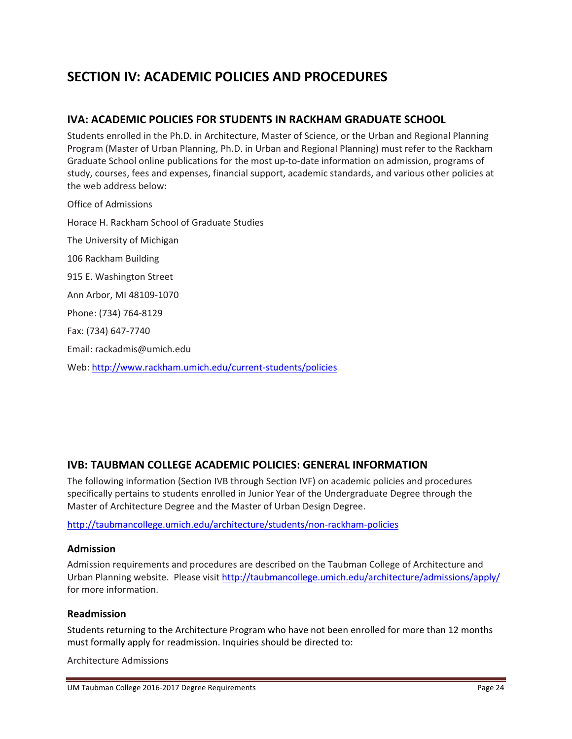# **SECTION IV: ACADEMIC POLICIES AND PROCEDURES**

# **IVA: ACADEMIC POLICIES FOR STUDENTS IN RACKHAM GRADUATE SCHOOL**

Students enrolled in the Ph.D. in Architecture, Master of Science, or the Urban and Regional Planning Program (Master of Urban Planning, Ph.D. in Urban and Regional Planning) must refer to the Rackham Graduate School online publications for the most up‐to‐date information on admission, programs of study, courses, fees and expenses, financial support, academic standards, and various other policies at the web address below:

Office of Admissions Horace H. Rackham School of Graduate Studies The University of Michigan 106 Rackham Building 915 E. Washington Street Ann Arbor, MI 48109‐1070 Phone: (734) 764‐8129 Fax: (734) 647‐7740 Email: rackadmis@umich.edu Web: http://www.rackham.umich.edu/current‐students/policies

# **IVB: TAUBMAN COLLEGE ACADEMIC POLICIES: GENERAL INFORMATION**

The following information (Section IVB through Section IVF) on academic policies and procedures specifically pertains to students enrolled in Junior Year of the Undergraduate Degree through the Master of Architecture Degree and the Master of Urban Design Degree.

http://taubmancollege.umich.edu/architecture/students/non‐rackham‐policies

#### **Admission**

Admission requirements and procedures are described on the Taubman College of Architecture and Urban Planning website. Please visit http://taubmancollege.umich.edu/architecture/admissions/apply/ for more information.

#### **Readmission**

Students returning to the Architecture Program who have not been enrolled for more than 12 months must formally apply for readmission. Inquiries should be directed to:

Architecture Admissions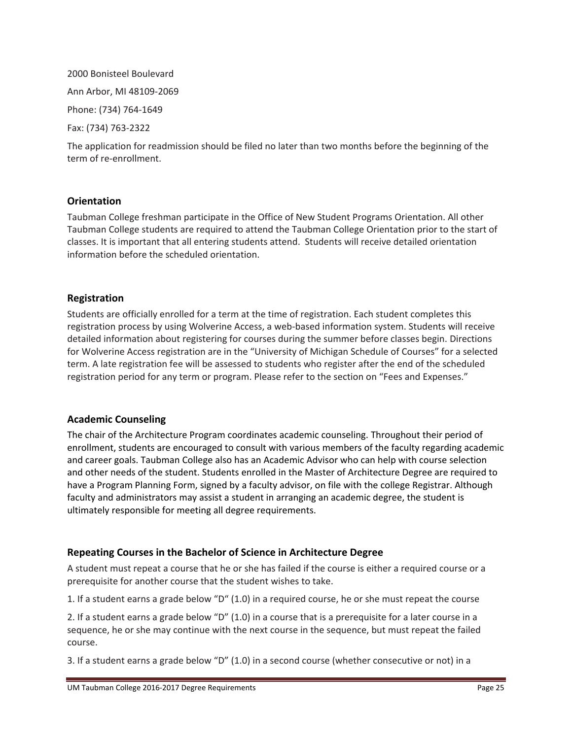# 2000 Bonisteel Boulevard Ann Arbor, MI 48109‐2069 Phone: (734) 764‐1649 Fax: (734) 763‐2322

The application for readmission should be filed no later than two months before the beginning of the term of re‐enrollment.

#### **Orientation**

Taubman College freshman participate in the Office of New Student Programs Orientation. All other Taubman College students are required to attend the Taubman College Orientation prior to the start of classes. It is important that all entering students attend. Students will receive detailed orientation information before the scheduled orientation.

## **Registration**

Students are officially enrolled for a term at the time of registration. Each student completes this registration process by using Wolverine Access, a web-based information system. Students will receive detailed information about registering for courses during the summer before classes begin. Directions for Wolverine Access registration are in the "University of Michigan Schedule of Courses" for a selected term. A late registration fee will be assessed to students who register after the end of the scheduled registration period for any term or program. Please refer to the section on "Fees and Expenses."

#### **Academic Counseling**

The chair of the Architecture Program coordinates academic counseling. Throughout their period of enrollment, students are encouraged to consult with various members of the faculty regarding academic and career goals. Taubman College also has an Academic Advisor who can help with course selection and other needs of the student. Students enrolled in the Master of Architecture Degree are required to have a Program Planning Form, signed by a faculty advisor, on file with the college Registrar. Although faculty and administrators may assist a student in arranging an academic degree, the student is ultimately responsible for meeting all degree requirements.

## **Repeating Courses in the Bachelor of Science in Architecture Degree**

A student must repeat a course that he or she has failed if the course is either a required course or a prerequisite for another course that the student wishes to take.

1. If a student earns a grade below "D" (1.0) in a required course, he or she must repeat the course

2. If a student earns a grade below "D" (1.0) in a course that is a prerequisite for a later course in a sequence, he or she may continue with the next course in the sequence, but must repeat the failed course.

3. If a student earns a grade below "D" (1.0) in a second course (whether consecutive or not) in a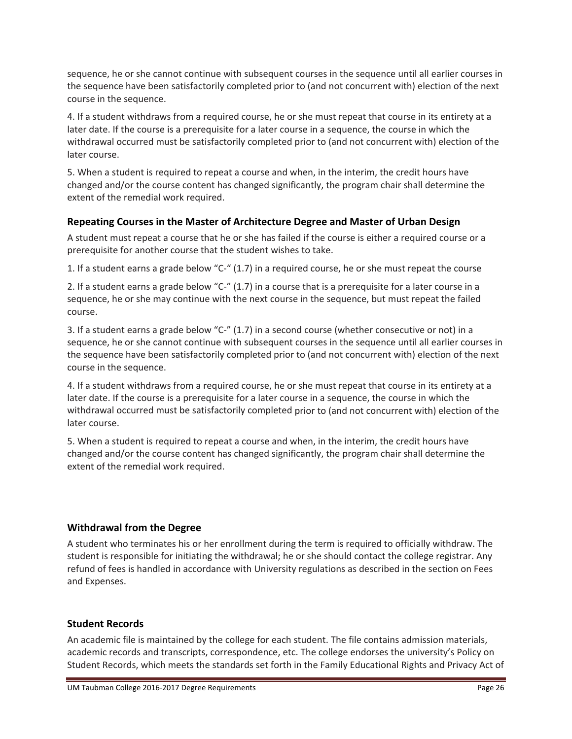sequence, he or she cannot continue with subsequent courses in the sequence until all earlier courses in the sequence have been satisfactorily completed prior to (and not concurrent with) election of the next course in the sequence.

4. If a student withdraws from a required course, he or she must repeat that course in its entirety at a later date. If the course is a prerequisite for a later course in a sequence, the course in which the withdrawal occurred must be satisfactorily completed prior to (and not concurrent with) election of the later course.

5. When a student is required to repeat a course and when, in the interim, the credit hours have changed and/or the course content has changed significantly, the program chair shall determine the extent of the remedial work required.

# **Repeating Courses in the Master of Architecture Degree and Master of Urban Design**

A student must repeat a course that he or she has failed if the course is either a required course or a prerequisite for another course that the student wishes to take.

1. If a student earns a grade below "C‐" (1.7) in a required course, he or she must repeat the course

2. If a student earns a grade below "C-" (1.7) in a course that is a prerequisite for a later course in a sequence, he or she may continue with the next course in the sequence, but must repeat the failed course.

3. If a student earns a grade below "C‐" (1.7) in a second course (whether consecutive or not) in a sequence, he or she cannot continue with subsequent courses in the sequence until all earlier courses in the sequence have been satisfactorily completed prior to (and not concurrent with) election of the next course in the sequence.

4. If a student withdraws from a required course, he or she must repeat that course in its entirety at a later date. If the course is a prerequisite for a later course in a sequence, the course in which the withdrawal occurred must be satisfactorily completed prior to (and not concurrent with) election of the later course.

5. When a student is required to repeat a course and when, in the interim, the credit hours have changed and/or the course content has changed significantly, the program chair shall determine the extent of the remedial work required.

# **Withdrawal from the Degree**

A student who terminates his or her enrollment during the term is required to officially withdraw. The student is responsible for initiating the withdrawal; he or she should contact the college registrar. Any refund of fees is handled in accordance with University regulations as described in the section on Fees and Expenses.

## **Student Records**

An academic file is maintained by the college for each student. The file contains admission materials, academic records and transcripts, correspondence, etc. The college endorses the university's Policy on Student Records, which meets the standards set forth in the Family Educational Rights and Privacy Act of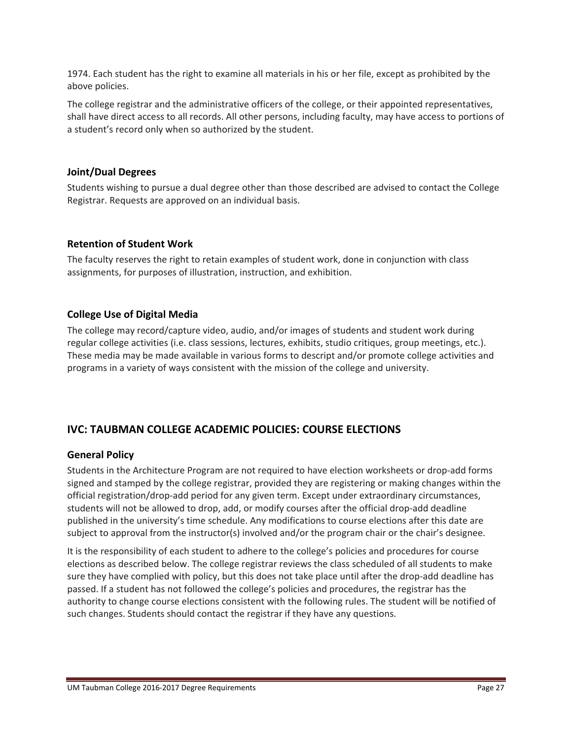1974. Each student has the right to examine all materials in his or her file, except as prohibited by the above policies.

The college registrar and the administrative officers of the college, or their appointed representatives, shall have direct access to all records. All other persons, including faculty, may have access to portions of a student's record only when so authorized by the student.

#### **Joint/Dual Degrees**

Students wishing to pursue a dual degree other than those described are advised to contact the College Registrar. Requests are approved on an individual basis.

#### **Retention of Student Work**

The faculty reserves the right to retain examples of student work, done in conjunction with class assignments, for purposes of illustration, instruction, and exhibition.

## **College Use of Digital Media**

The college may record/capture video, audio, and/or images of students and student work during regular college activities (i.e. class sessions, lectures, exhibits, studio critiques, group meetings, etc.). These media may be made available in various forms to descript and/or promote college activities and programs in a variety of ways consistent with the mission of the college and university.

# **IVC: TAUBMAN COLLEGE ACADEMIC POLICIES: COURSE ELECTIONS**

#### **General Policy**

Students in the Architecture Program are not required to have election worksheets or drop-add forms signed and stamped by the college registrar, provided they are registering or making changes within the official registration/drop‐add period for any given term. Except under extraordinary circumstances, students will not be allowed to drop, add, or modify courses after the official drop-add deadline published in the university's time schedule. Any modifications to course elections after this date are subject to approval from the instructor(s) involved and/or the program chair or the chair's designee.

It is the responsibility of each student to adhere to the college's policies and procedures for course elections as described below. The college registrar reviews the class scheduled of all students to make sure they have complied with policy, but this does not take place until after the drop-add deadline has passed. If a student has not followed the college's policies and procedures, the registrar has the authority to change course elections consistent with the following rules. The student will be notified of such changes. Students should contact the registrar if they have any questions.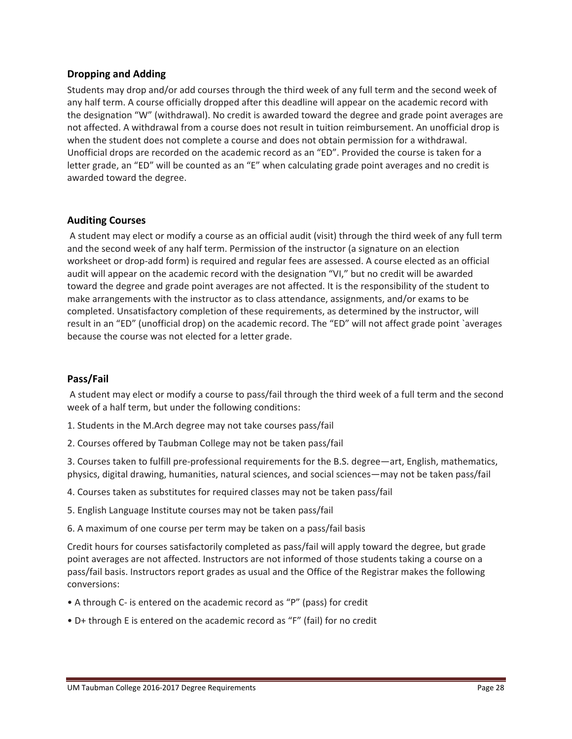#### **Dropping and Adding**

Students may drop and/or add courses through the third week of any full term and the second week of any half term. A course officially dropped after this deadline will appear on the academic record with the designation "W" (withdrawal). No credit is awarded toward the degree and grade point averages are not affected. A withdrawal from a course does not result in tuition reimbursement. An unofficial drop is when the student does not complete a course and does not obtain permission for a withdrawal. Unofficial drops are recorded on the academic record as an "ED". Provided the course is taken for a letter grade, an "ED" will be counted as an "E" when calculating grade point averages and no credit is awarded toward the degree.

#### **Auditing Courses**

A student may elect or modify a course as an official audit (visit) through the third week of any full term and the second week of any half term. Permission of the instructor (a signature on an election worksheet or drop-add form) is required and regular fees are assessed. A course elected as an official audit will appear on the academic record with the designation "VI," but no credit will be awarded toward the degree and grade point averages are not affected. It is the responsibility of the student to make arrangements with the instructor as to class attendance, assignments, and/or exams to be completed. Unsatisfactory completion of these requirements, as determined by the instructor, will result in an "ED" (unofficial drop) on the academic record. The "ED" will not affect grade point `averages because the course was not elected for a letter grade.

#### **Pass/Fail**

A student may elect or modify a course to pass/fail through the third week of a full term and the second week of a half term, but under the following conditions:

- 1. Students in the M.Arch degree may not take courses pass/fail
- 2. Courses offered by Taubman College may not be taken pass/fail

3. Courses taken to fulfill pre‐professional requirements for the B.S. degree—art, English, mathematics, physics, digital drawing, humanities, natural sciences, and social sciences—may not be taken pass/fail

- 4. Courses taken as substitutes for required classes may not be taken pass/fail
- 5. English Language Institute courses may not be taken pass/fail
- 6. A maximum of one course per term may be taken on a pass/fail basis

Credit hours for courses satisfactorily completed as pass/fail will apply toward the degree, but grade point averages are not affected. Instructors are not informed of those students taking a course on a pass/fail basis. Instructors report grades as usual and the Office of the Registrar makes the following conversions:

- A through C‐ is entered on the academic record as "P" (pass) for credit
- D+ through E is entered on the academic record as "F" (fail) for no credit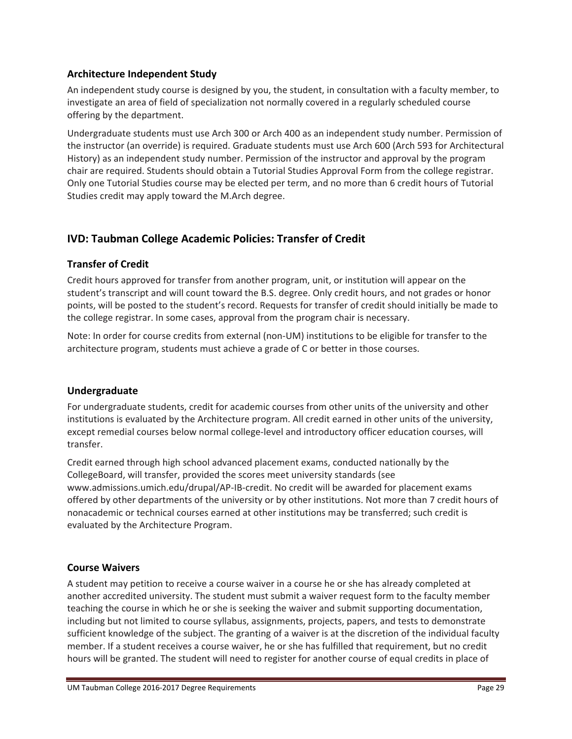## **Architecture Independent Study**

An independent study course is designed by you, the student, in consultation with a faculty member, to investigate an area of field of specialization not normally covered in a regularly scheduled course offering by the department.

Undergraduate students must use Arch 300 or Arch 400 as an independent study number. Permission of the instructor (an override) is required. Graduate students must use Arch 600 (Arch 593 for Architectural History) as an independent study number. Permission of the instructor and approval by the program chair are required. Students should obtain a Tutorial Studies Approval Form from the college registrar. Only one Tutorial Studies course may be elected per term, and no more than 6 credit hours of Tutorial Studies credit may apply toward the M.Arch degree.

# **IVD: Taubman College Academic Policies: Transfer of Credit**

# **Transfer of Credit**

Credit hours approved for transfer from another program, unit, or institution will appear on the student's transcript and will count toward the B.S. degree. Only credit hours, and not grades or honor points, will be posted to the student's record. Requests for transfer of credit should initially be made to the college registrar. In some cases, approval from the program chair is necessary.

Note: In order for course credits from external (non‐UM) institutions to be eligible for transfer to the architecture program, students must achieve a grade of C or better in those courses.

## **Undergraduate**

For undergraduate students, credit for academic courses from other units of the university and other institutions is evaluated by the Architecture program. All credit earned in other units of the university, except remedial courses below normal college-level and introductory officer education courses, will transfer.

Credit earned through high school advanced placement exams, conducted nationally by the CollegeBoard, will transfer, provided the scores meet university standards (see www.admissions.umich.edu/drupal/AP‐IB‐credit. No credit will be awarded for placement exams offered by other departments of the university or by other institutions. Not more than 7 credit hours of nonacademic or technical courses earned at other institutions may be transferred; such credit is evaluated by the Architecture Program.

## **Course Waivers**

A student may petition to receive a course waiver in a course he or she has already completed at another accredited university. The student must submit a waiver request form to the faculty member teaching the course in which he or she is seeking the waiver and submit supporting documentation, including but not limited to course syllabus, assignments, projects, papers, and tests to demonstrate sufficient knowledge of the subject. The granting of a waiver is at the discretion of the individual faculty member. If a student receives a course waiver, he or she has fulfilled that requirement, but no credit hours will be granted. The student will need to register for another course of equal credits in place of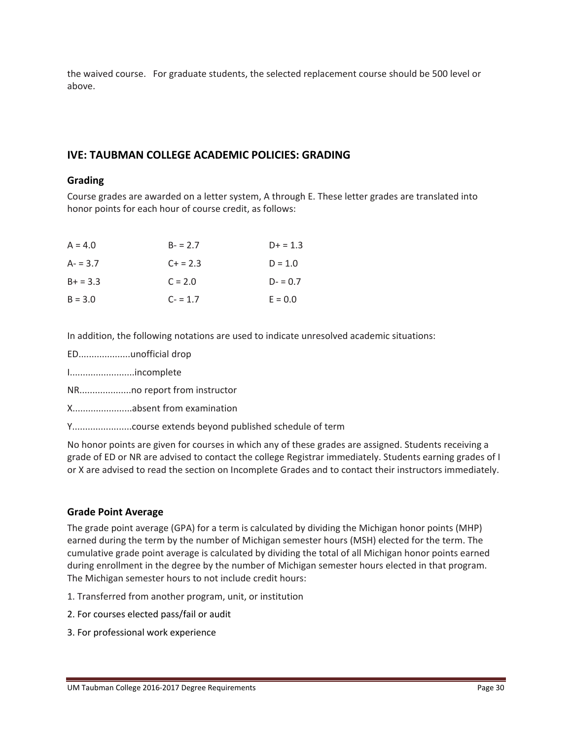the waived course. For graduate students, the selected replacement course should be 500 level or above.

# **IVE: TAUBMAN COLLEGE ACADEMIC POLICIES: GRADING**

#### **Grading**

Course grades are awarded on a letter system, A through E. These letter grades are translated into honor points for each hour of course credit, as follows:

| $A = 4.0$  | $B - 2.7$ | $D+ = 1.3$ |
|------------|-----------|------------|
| $A - 3.7$  | $C + 2.3$ | $D = 1.0$  |
| $B+ = 3.3$ | $C = 2.0$ | $D - 0.7$  |
| $B = 3.0$  | $C - 1.7$ | $E = 0.0$  |

In addition, the following notations are used to indicate unresolved academic situations:

- ED....................unofficial drop
- I.........................incomplete
- NR....................no report from instructor

X.......................absent from examination

Y.......................course extends beyond published schedule of term

No honor points are given for courses in which any of these grades are assigned. Students receiving a grade of ED or NR are advised to contact the college Registrar immediately. Students earning grades of I or X are advised to read the section on Incomplete Grades and to contact their instructors immediately.

#### **Grade Point Average**

The grade point average (GPA) for a term is calculated by dividing the Michigan honor points (MHP) earned during the term by the number of Michigan semester hours (MSH) elected for the term. The cumulative grade point average is calculated by dividing the total of all Michigan honor points earned during enrollment in the degree by the number of Michigan semester hours elected in that program. The Michigan semester hours to not include credit hours:

- 1. Transferred from another program, unit, or institution
- 2. For courses elected pass/fail or audit
- 3. For professional work experience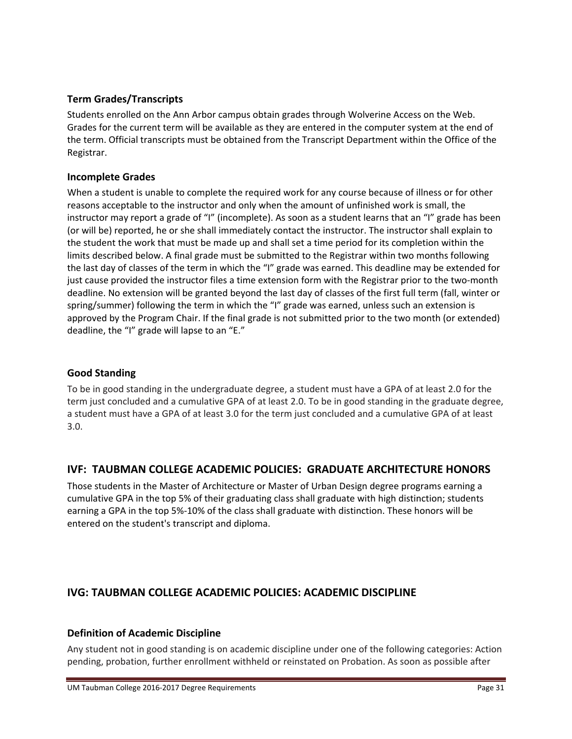## **Term Grades/Transcripts**

Students enrolled on the Ann Arbor campus obtain grades through Wolverine Access on the Web. Grades for the current term will be available as they are entered in the computer system at the end of the term. Official transcripts must be obtained from the Transcript Department within the Office of the Registrar.

## **Incomplete Grades**

When a student is unable to complete the required work for any course because of illness or for other reasons acceptable to the instructor and only when the amount of unfinished work is small, the instructor may report a grade of "I" (incomplete). As soon as a student learns that an "I" grade has been (or will be) reported, he or she shall immediately contact the instructor. The instructor shall explain to the student the work that must be made up and shall set a time period for its completion within the limits described below. A final grade must be submitted to the Registrar within two months following the last day of classes of the term in which the "I" grade was earned. This deadline may be extended for just cause provided the instructor files a time extension form with the Registrar prior to the two-month deadline. No extension will be granted beyond the last day of classes of the first full term (fall, winter or spring/summer) following the term in which the "I" grade was earned, unless such an extension is approved by the Program Chair. If the final grade is not submitted prior to the two month (or extended) deadline, the "I" grade will lapse to an "E."

## **Good Standing**

To be in good standing in the undergraduate degree, a student must have a GPA of at least 2.0 for the term just concluded and a cumulative GPA of at least 2.0. To be in good standing in the graduate degree, a student must have a GPA of at least 3.0 for the term just concluded and a cumulative GPA of at least 3.0.

# **IVF: TAUBMAN COLLEGE ACADEMIC POLICIES: GRADUATE ARCHITECTURE HONORS**

Those students in the Master of Architecture or Master of Urban Design degree programs earning a cumulative GPA in the top 5% of their graduating class shall graduate with high distinction; students earning a GPA in the top 5%‐10% of the class shall graduate with distinction. These honors will be entered on the student's transcript and diploma.

# **IVG: TAUBMAN COLLEGE ACADEMIC POLICIES: ACADEMIC DISCIPLINE**

## **Definition of Academic Discipline**

Any student not in good standing is on academic discipline under one of the following categories: Action pending, probation, further enrollment withheld or reinstated on Probation. As soon as possible after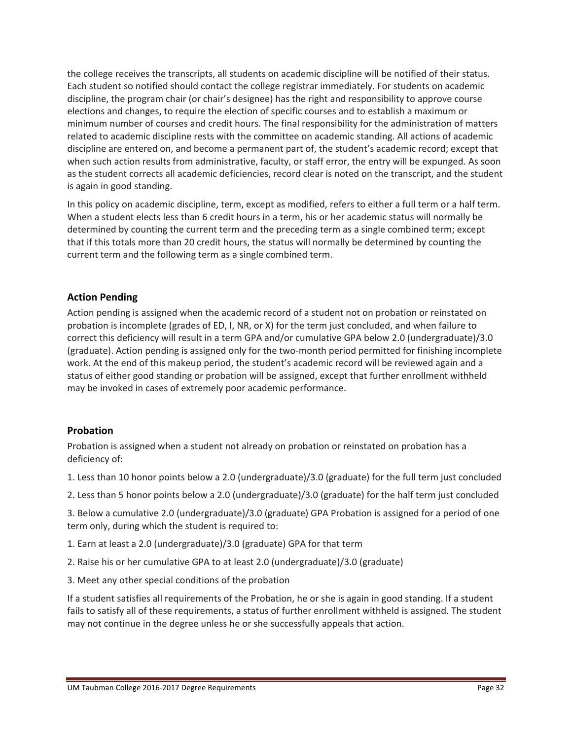the college receives the transcripts, all students on academic discipline will be notified of their status. Each student so notified should contact the college registrar immediately. For students on academic discipline, the program chair (or chair's designee) has the right and responsibility to approve course elections and changes, to require the election of specific courses and to establish a maximum or minimum number of courses and credit hours. The final responsibility for the administration of matters related to academic discipline rests with the committee on academic standing. All actions of academic discipline are entered on, and become a permanent part of, the student's academic record; except that when such action results from administrative, faculty, or staff error, the entry will be expunged. As soon as the student corrects all academic deficiencies, record clear is noted on the transcript, and the student is again in good standing.

In this policy on academic discipline, term, except as modified, refers to either a full term or a half term. When a student elects less than 6 credit hours in a term, his or her academic status will normally be determined by counting the current term and the preceding term as a single combined term; except that if this totals more than 20 credit hours, the status will normally be determined by counting the current term and the following term as a single combined term.

## **Action Pending**

Action pending is assigned when the academic record of a student not on probation or reinstated on probation is incomplete (grades of ED, I, NR, or X) for the term just concluded, and when failure to correct this deficiency will result in a term GPA and/or cumulative GPA below 2.0 (undergraduate)/3.0 (graduate). Action pending is assigned only for the two‐month period permitted for finishing incomplete work. At the end of this makeup period, the student's academic record will be reviewed again and a status of either good standing or probation will be assigned, except that further enrollment withheld may be invoked in cases of extremely poor academic performance.

#### **Probation**

Probation is assigned when a student not already on probation or reinstated on probation has a deficiency of:

- 1. Less than 10 honor points below a 2.0 (undergraduate)/3.0 (graduate) for the full term just concluded
- 2. Less than 5 honor points below a 2.0 (undergraduate)/3.0 (graduate) for the half term just concluded

3. Below a cumulative 2.0 (undergraduate)/3.0 (graduate) GPA Probation is assigned for a period of one term only, during which the student is required to:

- 1. Earn at least a 2.0 (undergraduate)/3.0 (graduate) GPA for that term
- 2. Raise his or her cumulative GPA to at least 2.0 (undergraduate)/3.0 (graduate)
- 3. Meet any other special conditions of the probation

If a student satisfies all requirements of the Probation, he or she is again in good standing. If a student fails to satisfy all of these requirements, a status of further enrollment withheld is assigned. The student may not continue in the degree unless he or she successfully appeals that action.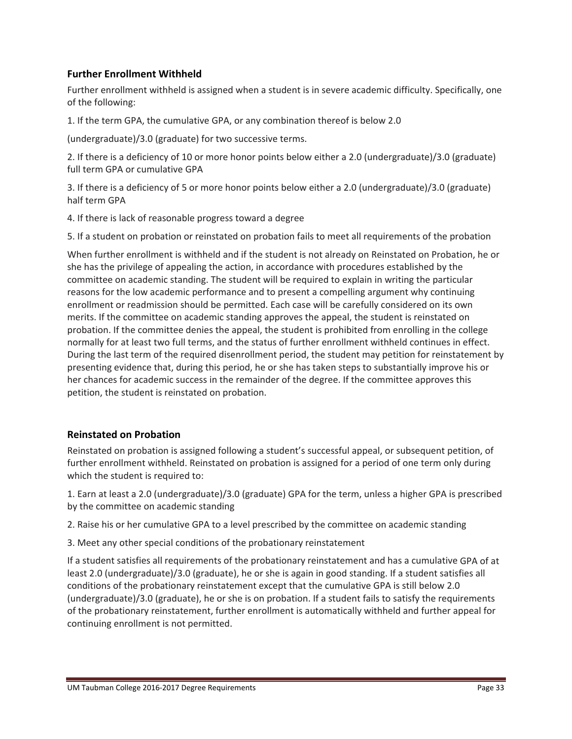## **Further Enrollment Withheld**

Further enrollment withheld is assigned when a student is in severe academic difficulty. Specifically, one of the following:

1. If the term GPA, the cumulative GPA, or any combination thereof is below 2.0

(undergraduate)/3.0 (graduate) for two successive terms.

2. If there is a deficiency of 10 or more honor points below either a 2.0 (undergraduate)/3.0 (graduate) full term GPA or cumulative GPA

3. If there is a deficiency of 5 or more honor points below either a 2.0 (undergraduate)/3.0 (graduate) half term GPA

4. If there is lack of reasonable progress toward a degree

5. If a student on probation or reinstated on probation fails to meet all requirements of the probation

When further enrollment is withheld and if the student is not already on Reinstated on Probation, he or she has the privilege of appealing the action, in accordance with procedures established by the committee on academic standing. The student will be required to explain in writing the particular reasons for the low academic performance and to present a compelling argument why continuing enrollment or readmission should be permitted. Each case will be carefully considered on its own merits. If the committee on academic standing approves the appeal, the student is reinstated on probation. If the committee denies the appeal, the student is prohibited from enrolling in the college normally for at least two full terms, and the status of further enrollment withheld continues in effect. During the last term of the required disenrollment period, the student may petition for reinstatement by presenting evidence that, during this period, he or she has taken steps to substantially improve his or her chances for academic success in the remainder of the degree. If the committee approves this petition, the student is reinstated on probation.

#### **Reinstated on Probation**

Reinstated on probation is assigned following a student's successful appeal, or subsequent petition, of further enrollment withheld. Reinstated on probation is assigned for a period of one term only during which the student is required to:

1. Earn at least a 2.0 (undergraduate)/3.0 (graduate) GPA for the term, unless a higher GPA is prescribed by the committee on academic standing

2. Raise his or her cumulative GPA to a level prescribed by the committee on academic standing

3. Meet any other special conditions of the probationary reinstatement

If a student satisfies all requirements of the probationary reinstatement and has a cumulative GPA of at least 2.0 (undergraduate)/3.0 (graduate), he or she is again in good standing. If a student satisfies all conditions of the probationary reinstatement except that the cumulative GPA is still below 2.0 (undergraduate)/3.0 (graduate), he or she is on probation. If a student fails to satisfy the requirements of the probationary reinstatement, further enrollment is automatically withheld and further appeal for continuing enrollment is not permitted.